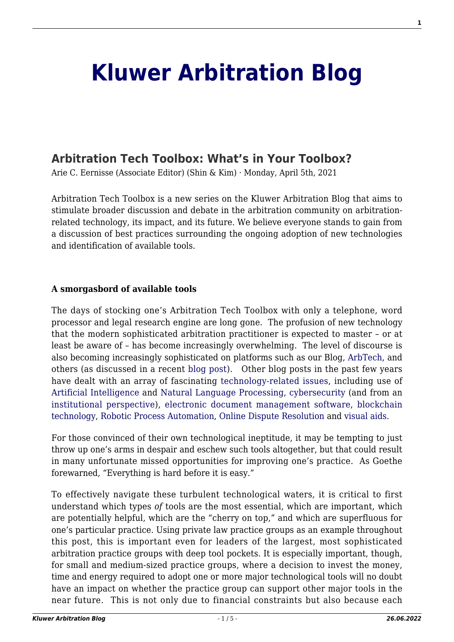# **[Kluwer Arbitration Blog](http://arbitrationblog.kluwerarbitration.com/)**

# **[Arbitration Tech Toolbox: What's in Your Toolbox?](http://arbitrationblog.kluwerarbitration.com/2021/04/05/arbitration-tech-toolbox-whats-in-your-toolbox/)**

Arie C. Eernisse (Associate Editor) (Shin & Kim) · Monday, April 5th, 2021

Arbitration Tech Toolbox is a new series on the Kluwer Arbitration Blog that aims to stimulate broader discussion and debate in the arbitration community on arbitrationrelated technology, its impact, and its future. We believe everyone stands to gain from a discussion of best practices surrounding the ongoing adoption of new technologies and identification of available tools.

#### **A smorgasbord of available tools**

The days of stocking one's Arbitration Tech Toolbox with only a telephone, word processor and legal research engine are long gone. The profusion of new technology that the modern sophisticated arbitration practitioner is expected to master – or at least be aware of – has become increasingly overwhelming. The level of discourse is also becoming increasingly sophisticated on platforms such as our Blog, [ArbTech](https://www.linkedin.com/company/arbtechhub/), and others (as discussed in a recent [blog post](http://arbitrationblog.kluwerarbitration.com/2021/03/09/a-roundup-of-tech-and-dispute-resolution-news/)). Other blog posts in the past few years have dealt with an array of fascinating [technology-related issues,](http://arbitrationblog.kluwerarbitration.com/category/archives/technology/) including use of [Artificial Intelligence](http://arbitrationblog.kluwerarbitration.com/2020/09/26/future-of-ai-in-arbitration-the-fine-line-between-fiction-and-reality/) and [Natural Language Processing](https://becominghuman.ai/a-simple-introduction-to-natural-language-processing-ea66a1747b32), [cybersecurity](http://arbitrationblog.kluwerarbitration.com/2021/03/27/formula-1-lessons-for-cybersecurity-in-international-arbitration-the-cyberarb-roadmap-2/) (and from an [institutional perspective](http://arbitrationblog.kluwerarbitration.com/2020/11/24/the-role-of-arbitral-institutions-in-cybersecurity-and-data-protection-in-international-arbitration/)), [electronic document management software,](http://arbitrationblog.kluwerarbitration.com/2018/09/07/practical-tips-for-handling-construction-claims-and-disputes-managing-documentary-evidence/) [blockchain](http://arbitrationblog.kluwerarbitration.com/2019/01/27/2018-in-review-blockchain-technology-and-arbitration/) [technology](http://arbitrationblog.kluwerarbitration.com/2019/01/27/2018-in-review-blockchain-technology-and-arbitration/), [Robotic Process Automation,](http://arbitrationblog.kluwerarbitration.com/2020/06/16/simpler-building-a-robot-and-how-to-think-of-adr-tech/) [Online Dispute Resolution](http://arbitrationblog.kluwerarbitration.com/2018/03/29/online-dispute-resolution-future-alternative-dispute-resolution/) and [visual aids](http://arbitrationblog.kluwerarbitration.com/2019/11/23/creating-compelling-expert-testimony-in-international-arbitration-using-visual-aids/).

For those convinced of their own technological ineptitude, it may be tempting to just throw up one's arms in despair and eschew such tools altogether, but that could result in many unfortunate missed opportunities for improving one's practice. As Goethe forewarned, "Everything is hard before it is easy."

To effectively navigate these turbulent technological waters, it is critical to first understand which types *of* tools are the most essential, which are important, which are potentially helpful, which are the "cherry on top," and which are superfluous for one's particular practice. Using private law practice groups as an example throughout this post, this is important even for leaders of the largest, most sophisticated arbitration practice groups with deep tool pockets. It is especially important, though, for small and medium-sized practice groups, where a decision to invest the money, time and energy required to adopt one or more major technological tools will no doubt have an impact on whether the practice group can support other major tools in the near future. This is not only due to financial constraints but also because each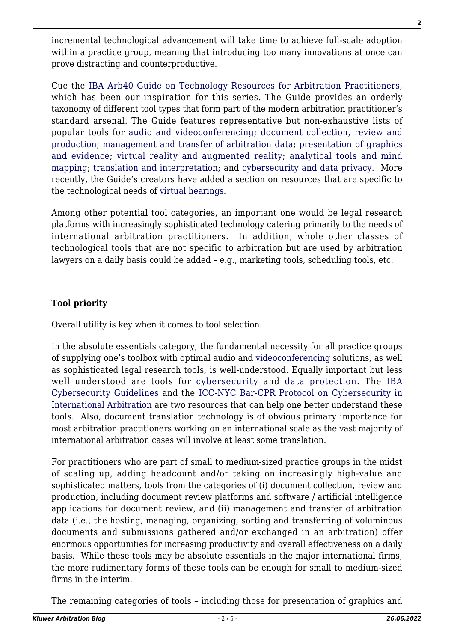incremental technological advancement will take time to achieve full-scale adoption within a practice group, meaning that introducing too many innovations at once can prove distracting and counterproductive.

Cue the [IBA Arb40 Guide on Technology Resources for Arbitration Practitioners](https://www.ibanet.org/technology-resources-for-arbitration-practitioners.aspx), which has been our inspiration for this series. The Guide provides an orderly taxonomy of different tool types that form part of the modern arbitration practitioner's standard arsenal. The Guide features representative but non-exhaustive lists of popular tools for [audio and videoconferencing](https://www.ibanet.org/technology-resources-for-arbitration-av.aspx); [document collection, review and](https://www.ibanet.org/technology-resources-for-arbitration-documents.aspx) [production;](https://www.ibanet.org/technology-resources-for-arbitration-documents.aspx) [management and transfer of arbitration data;](https://www.ibanet.org/technology-resources-for-arbitration-data.aspx) [presentation of graphics](https://www.ibanet.org/technology-resources-for-arbitration-graphics.aspx) [and evidence](https://www.ibanet.org/technology-resources-for-arbitration-graphics.aspx); [virtual reality and augmented reality;](https://www.ibanet.org/technology-resources-for-arbitration-vr-ar.aspx) [analytical tools and mind](https://www.ibanet.org/technology-resources-for-arbitration-analyticaltools.aspx) [mapping;](https://www.ibanet.org/technology-resources-for-arbitration-analyticaltools.aspx) [translation and interpretation;](https://www.ibanet.org/technology-resources-for-arbitration-translation.aspx) and [cybersecurity and data privacy.](https://www.ibanet.org/technology-resources-for-arbitration-cybersecurity.aspx) More recently, the Guide's creators have added a section on resources that are specific to the technological needs of [virtual hearings](https://www.ibanet.org/technology-resources-for-arbitration-va.aspx).

Among other potential tool categories, an important one would be legal research platforms with increasingly sophisticated technology catering primarily to the needs of international arbitration practitioners. In addition, whole other classes of technological tools that are not specific to arbitration but are used by arbitration lawyers on a daily basis could be added – e.g., marketing tools, scheduling tools, etc.

# **Tool priority**

Overall utility is key when it comes to tool selection.

In the absolute essentials category, the fundamental necessity for all practice groups of supplying one's toolbox with optimal audio and [videoconferencing](http://arbitrationblog.kluwerarbitration.com/category/archives/videoconferencing/) solutions, as well as sophisticated legal research tools, is well-understood. Equally important but less well understood are tools for [cybersecurity](http://arbitrationblog.kluwerarbitration.com/category/archives/cybersecurity/) and [data protection](http://arbitrationblog.kluwerarbitration.com/category/archives/data-protection/). The [IBA](https://www.ibanet.org/LPRU/cybersecurity-guidelines.aspx) [Cybersecurity Guidelines](https://www.ibanet.org/LPRU/cybersecurity-guidelines.aspx) and the [ICC-NYC Bar-CPR Protocol on Cybersecurity in](https://www.arbitration-icca.org/media/14/76788479244143/icca-nyc_bar-cpr_cybersecurity_protocol_for_international_arbitration_-_print_version.pdf) [International Arbitration](https://www.arbitration-icca.org/media/14/76788479244143/icca-nyc_bar-cpr_cybersecurity_protocol_for_international_arbitration_-_print_version.pdf) are two resources that can help one better understand these tools. Also, document translation technology is of obvious primary importance for most arbitration practitioners working on an international scale as the vast majority of international arbitration cases will involve at least some translation.

For practitioners who are part of small to medium-sized practice groups in the midst of scaling up, adding headcount and/or taking on increasingly high-value and sophisticated matters, tools from the categories of (i) document collection, review and production, including document review platforms and software / artificial intelligence applications for document review, and (ii) management and transfer of arbitration data (i.e., the hosting, managing, organizing, sorting and transferring of voluminous documents and submissions gathered and/or exchanged in an arbitration) offer enormous opportunities for increasing productivity and overall effectiveness on a daily basis. While these tools may be absolute essentials in the major international firms, the more rudimentary forms of these tools can be enough for small to medium-sized firms in the interim.

The remaining categories of tools – including those for presentation of graphics and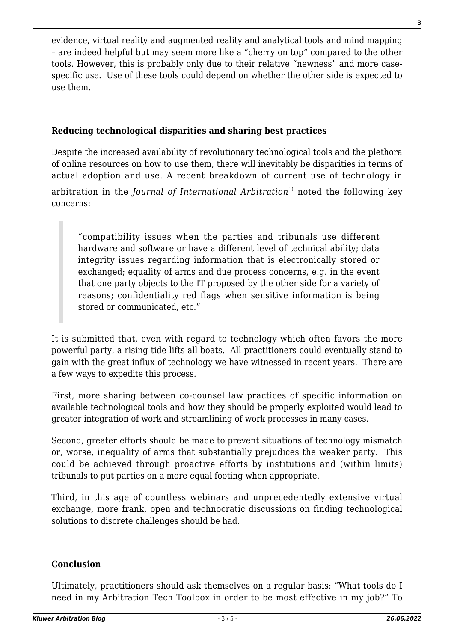evidence, virtual reality and augmented reality and analytical tools and mind mapping – are indeed helpful but may seem more like a "cherry on top" compared to the other tools. However, this is probably only due to their relative "newness" and more casespecific use. Use of these tools could depend on whether the other side is expected to use them.

## **Reducing technological disparities and sharing best practices**

Despite the increased availability of revolutionary technological tools and the plethora of online resources on how to use them, there will inevitably be disparities in terms of actual adoption and use. A recent breakdown of current use of technology in

arbitration in the *Journal of International Arbitration*<sup>1)</sup> noted the following key concerns:

"compatibility issues when the parties and tribunals use different hardware and software or have a different level of technical ability; data integrity issues regarding information that is electronically stored or exchanged; equality of arms and due process concerns, e.g. in the event that one party objects to the IT proposed by the other side for a variety of reasons; confidentiality red flags when sensitive information is being stored or communicated, etc."

It is submitted that, even with regard to technology which often favors the more powerful party, a rising tide lifts all boats. All practitioners could eventually stand to gain with the great influx of technology we have witnessed in recent years. There are a few ways to expedite this process.

First, more sharing between co-counsel law practices of specific information on available technological tools and how they should be properly exploited would lead to greater integration of work and streamlining of work processes in many cases.

Second, greater efforts should be made to prevent situations of technology mismatch or, worse, inequality of arms that substantially prejudices the weaker party. This could be achieved through proactive efforts by institutions and (within limits) tribunals to put parties on a more equal footing when appropriate.

Third, in this age of countless webinars and unprecedentedly extensive virtual exchange, more frank, open and technocratic discussions on finding technological solutions to discrete challenges should be had.

### **Conclusion**

Ultimately, practitioners should ask themselves on a regular basis: "What tools do I need in my Arbitration Tech Toolbox in order to be most effective in my job?" To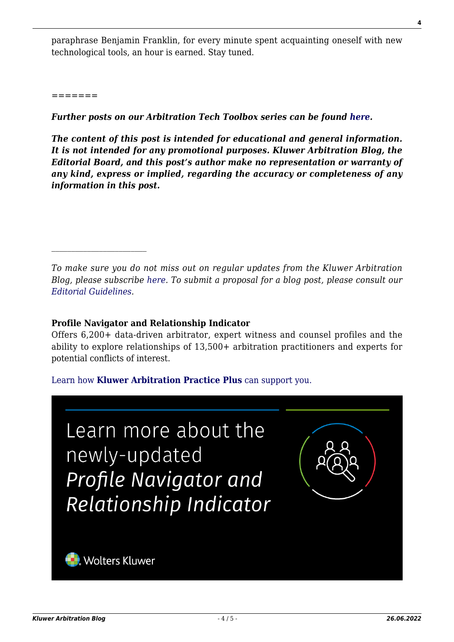paraphrase Benjamin Franklin, for every minute spent acquainting oneself with new technological tools, an hour is earned. Stay tuned.

*=======*

*Further posts on our Arbitration Tech Toolbox series can be found [here](http://arbitrationblog.kluwerarbitration.com/category/arbitration-tech-toolbox).*

*The content of this post is intended for educational and general information. It is not intended for any promotional purposes. Kluwer Arbitration Blog, the Editorial Board, and this post's author make no representation or warranty of any kind, express or implied, regarding the accuracy or completeness of any information in this post.*

*To make sure you do not miss out on regular updates from the Kluwer Arbitration Blog, please subscribe [here](http://arbitrationblog.kluwerarbitration.com/newsletter/). To submit a proposal for a blog post, please consult our [Editorial Guidelines.](http://arbitrationblog.kluwerarbitration.com/editorial-guidelines/)*

#### **Profile Navigator and Relationship Indicator**

Offers 6,200+ data-driven arbitrator, expert witness and counsel profiles and the ability to explore relationships of 13,500+ arbitration practitioners and experts for potential conflicts of interest.

[Learn how](https://www.wolterskluwer.com/en/solutions/kluwerarbitration/practiceplus?utm_source=arbitrationblog&utm_medium=articleCTA&utm_campaign=article-banner) **[Kluwer Arbitration Practice Plus](https://www.wolterskluwer.com/en/solutions/kluwerarbitration/practiceplus?utm_source=arbitrationblog&utm_medium=articleCTA&utm_campaign=article-banner)** [can support you.](https://www.wolterskluwer.com/en/solutions/kluwerarbitration/practiceplus?utm_source=arbitrationblog&utm_medium=articleCTA&utm_campaign=article-banner)